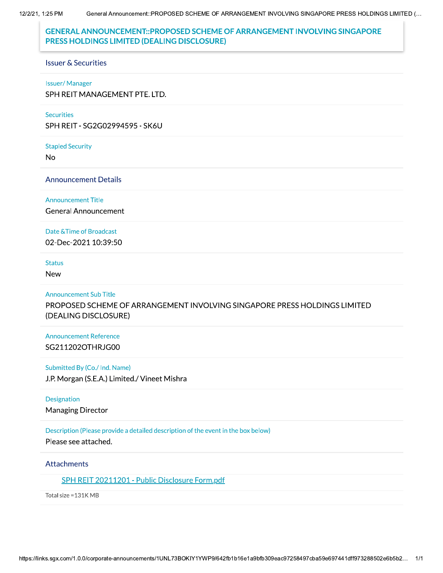12/2/21, 1:25 PM

# **GENERAL ANNOUNCEMENT::PROPOSED SCHEME OF ARRANGEMENT INVOLVING SINGAPORE** PRESS HOLDINGS LIMITED (DEALING DISCLOSURE)

#### **Issuer & Securities**

#### **Issuer/Manager**

SPH REIT MANAGEMENT PTE. LTD.

#### **Securities**

SPH REIT - SG2G02994595 - SK6U

**Stapled Security** 

**No** 

**Announcement Details** 

#### **Announcement Title**

**General Announcement** 

### Date & Time of Broadcast

02-Dec-2021 10:39:50

### **Status**

**New** 

### **Announcement Sub Title**

PROPOSED SCHEME OF ARRANGEMENT INVOLVING SINGAPORE PRESS HOLDINGS LIMITED (DEALING DISCLOSURE)

## **Announcement Reference** SG211202OTHRJG00

### Submitted By (Co./ Ind. Name)

J.P. Morgan (S.E.A.) Limited./ Vineet Mishra

### Designation

**Managing Director** 

### Description (Please provide a detailed description of the event in the box below)

Please see attached.

### **Attachments**

SPH REIT 20211201 - Public Disclosure Form.pdf

Total size = 131K MB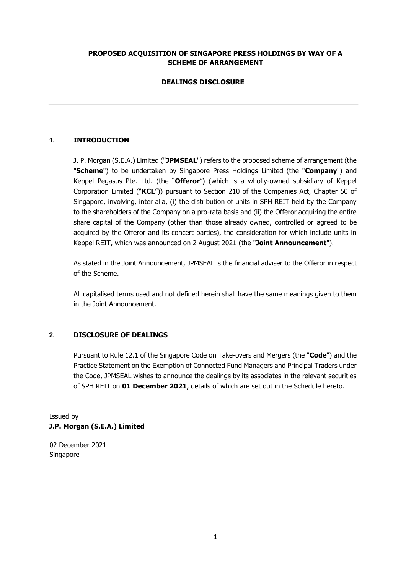## **PROPOSED ACQUISITION OF SINGAPORE PRESS HOLDINGS BY WAY OF A SCHEME OF ARRANGEMENT**

## **DEALINGS DISCLOSURE**

## **1. INTRODUCTION**

J. P. Morgan (S.E.A.) Limited ("**JPMSEAL**") refers to the proposed scheme of arrangement (the "**Scheme**") to be undertaken by Singapore Press Holdings Limited (the "**Company**") and Keppel Pegasus Pte. Ltd. (the "**Offeror**") (which is a wholly-owned subsidiary of Keppel Corporation Limited ("**KCL**")) pursuant to Section 210 of the Companies Act, Chapter 50 of Singapore, involving, inter alia, (i) the distribution of units in SPH REIT held by the Company to the shareholders of the Company on a pro-rata basis and (ii) the Offeror acquiring the entire share capital of the Company (other than those already owned, controlled or agreed to be acquired by the Offeror and its concert parties), the consideration for which include units in Keppel REIT, which was announced on 2 August 2021 (the "**Joint Announcement**").

As stated in the Joint Announcement, JPMSEAL is the financial adviser to the Offeror in respect of the Scheme.

All capitalised terms used and not defined herein shall have the same meanings given to them in the Joint Announcement.

## **2. DISCLOSURE OF DEALINGS**

Pursuant to Rule 12.1 of the Singapore Code on Take-overs and Mergers (the "**Code**") and the Practice Statement on the Exemption of Connected Fund Managers and Principal Traders under the Code, JPMSEAL wishes to announce the dealings by its associates in the relevant securities of SPH REIT on **01 December 2021**, details of which are set out in the Schedule hereto.

Issued by **J.P. Morgan (S.E.A.) Limited** 

02 December 2021 Singapore